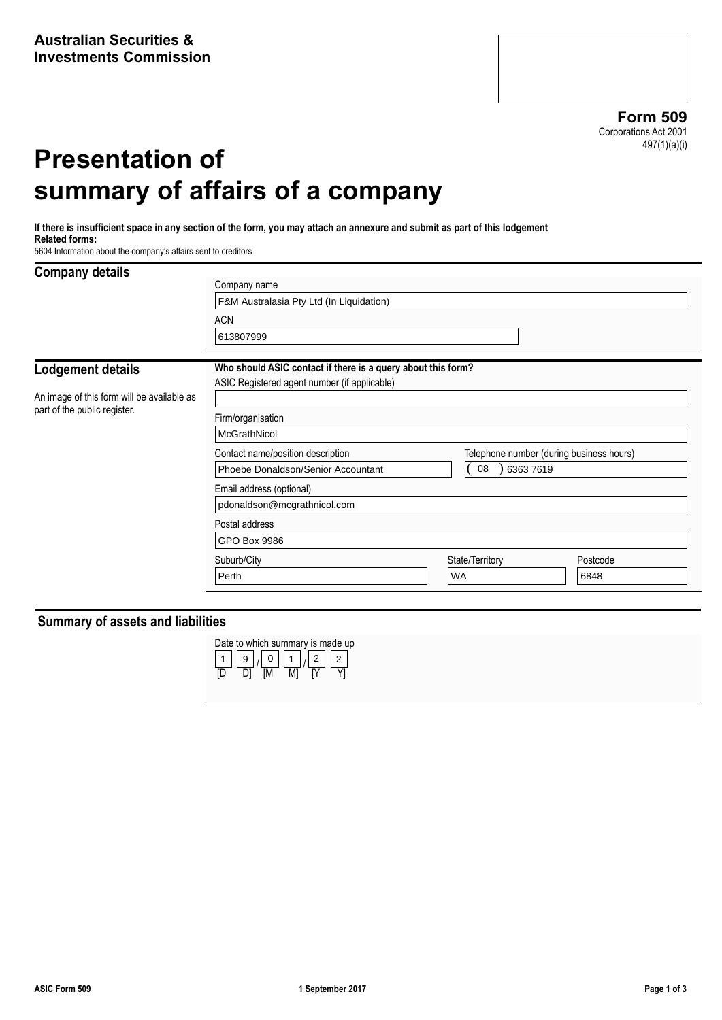**Form 509** Corporations Act 2001 497(1)(a)(i)

# **Presentation of summary of affairs of a company**

**If there is insufficient space in any section of the form, you may attach an annexure and submit as part of this lodgement Related forms:**

5604 Information about the company's affairs sent to creditors

#### **Company details**

| oompang actang                                                             | Company name                                                 |           |                                          |          |  |  |
|----------------------------------------------------------------------------|--------------------------------------------------------------|-----------|------------------------------------------|----------|--|--|
|                                                                            | F&M Australasia Pty Ltd (In Liquidation)                     |           |                                          |          |  |  |
|                                                                            | <b>ACN</b>                                                   |           |                                          |          |  |  |
|                                                                            | 613807999                                                    |           |                                          |          |  |  |
| <b>Lodgement details</b>                                                   | Who should ASIC contact if there is a query about this form? |           |                                          |          |  |  |
|                                                                            | ASIC Registered agent number (if applicable)                 |           |                                          |          |  |  |
| An image of this form will be available as<br>part of the public register. |                                                              |           |                                          |          |  |  |
|                                                                            | Firm/organisation                                            |           |                                          |          |  |  |
|                                                                            | McGrathNicol                                                 |           |                                          |          |  |  |
|                                                                            | Contact name/position description                            |           | Telephone number (during business hours) |          |  |  |
|                                                                            | Phoebe Donaldson/Senior Accountant                           |           | 08<br>63637619                           |          |  |  |
|                                                                            | Email address (optional)                                     |           |                                          |          |  |  |
|                                                                            | pdonaldson@mcgrathnicol.com                                  |           |                                          |          |  |  |
|                                                                            | Postal address                                               |           |                                          |          |  |  |
|                                                                            | GPO Box 9986                                                 |           |                                          |          |  |  |
|                                                                            | Suburb/City                                                  |           | State/Territory                          | Postcode |  |  |
|                                                                            | Perth                                                        | <b>WA</b> |                                          | 6848     |  |  |
|                                                                            |                                                              |           |                                          |          |  |  |

#### **Summary of assets and liabilities**

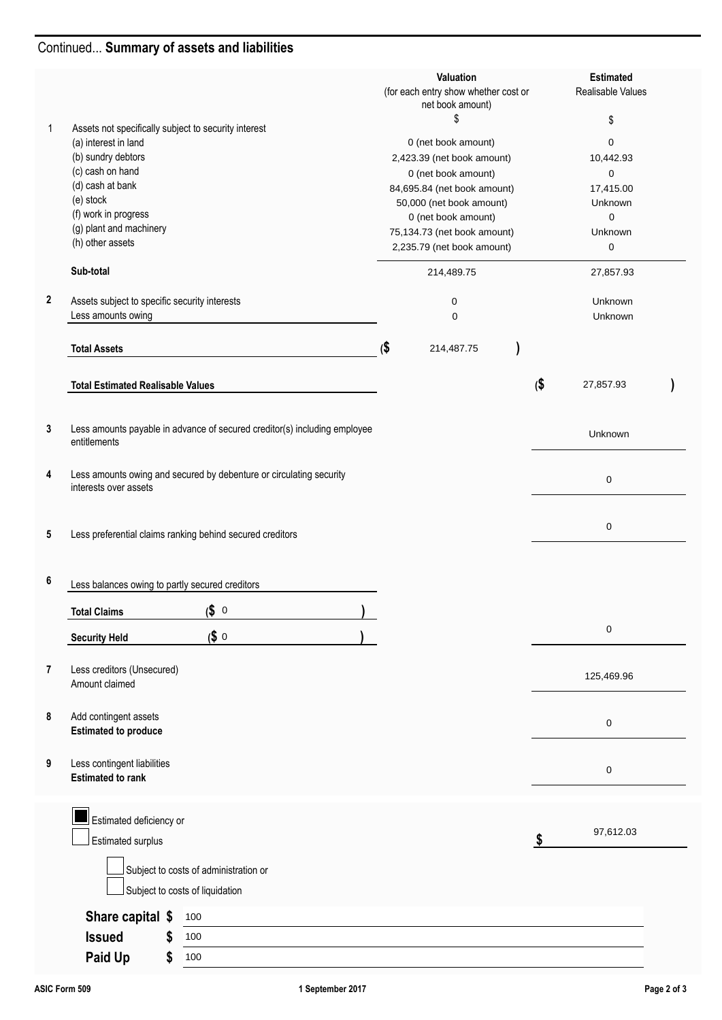## Continued... **Summary of assets and liabilities**

|             |                                                                                              | Valuation<br>(for each entry show whether cost or<br>net book amount) |                             | <b>Estimated</b><br>Realisable Values |            |  |
|-------------|----------------------------------------------------------------------------------------------|-----------------------------------------------------------------------|-----------------------------|---------------------------------------|------------|--|
|             |                                                                                              |                                                                       | \$                          |                                       | \$         |  |
| 1           | Assets not specifically subject to security interest<br>(a) interest in land                 |                                                                       | 0 (net book amount)         |                                       | 0          |  |
|             | (b) sundry debtors                                                                           |                                                                       | 2,423.39 (net book amount)  |                                       | 10,442.93  |  |
|             | (c) cash on hand                                                                             |                                                                       | 0 (net book amount)         |                                       | 0          |  |
|             | (d) cash at bank                                                                             |                                                                       | 84,695.84 (net book amount) |                                       | 17,415.00  |  |
|             | (e) stock                                                                                    |                                                                       | 50,000 (net book amount)    |                                       | Unknown    |  |
|             | (f) work in progress                                                                         |                                                                       | 0 (net book amount)         |                                       | 0          |  |
|             | (g) plant and machinery<br>(h) other assets                                                  |                                                                       | 75,134.73 (net book amount) |                                       | Unknown    |  |
|             |                                                                                              |                                                                       | 2,235.79 (net book amount)  |                                       | 0          |  |
|             | Sub-total                                                                                    |                                                                       | 214,489.75                  |                                       | 27,857.93  |  |
| $\mathbf 2$ | Assets subject to specific security interests                                                |                                                                       | 0                           |                                       | Unknown    |  |
|             | Less amounts owing                                                                           |                                                                       | $\mathbf 0$                 |                                       | Unknown    |  |
|             | <b>Total Assets</b>                                                                          | (\$                                                                   | 214,487.75                  |                                       |            |  |
|             |                                                                                              |                                                                       |                             |                                       |            |  |
|             | <b>Total Estimated Realisable Values</b>                                                     |                                                                       |                             | $\boldsymbol{\phi}$                   | 27,857.93  |  |
|             |                                                                                              |                                                                       |                             |                                       |            |  |
|             |                                                                                              |                                                                       |                             |                                       |            |  |
| 3           | Less amounts payable in advance of secured creditor(s) including employee<br>entitlements    |                                                                       |                             |                                       | Unknown    |  |
|             |                                                                                              |                                                                       |                             |                                       |            |  |
| 4           | Less amounts owing and secured by debenture or circulating security<br>interests over assets |                                                                       |                             |                                       | 0          |  |
|             |                                                                                              |                                                                       |                             |                                       |            |  |
|             |                                                                                              |                                                                       |                             |                                       | 0          |  |
| 5           | Less preferential claims ranking behind secured creditors                                    |                                                                       |                             |                                       |            |  |
|             |                                                                                              |                                                                       |                             |                                       |            |  |
| 6           | Less balances owing to partly secured creditors                                              |                                                                       |                             |                                       |            |  |
|             |                                                                                              |                                                                       |                             |                                       |            |  |
|             | \$0<br><b>Total Claims</b>                                                                   |                                                                       |                             |                                       |            |  |
|             | \$0<br><b>Security Held</b>                                                                  |                                                                       |                             |                                       | 0          |  |
|             |                                                                                              |                                                                       |                             |                                       |            |  |
| 7           | Less creditors (Unsecured)                                                                   |                                                                       |                             |                                       |            |  |
|             | Amount claimed                                                                               |                                                                       |                             |                                       | 125,469.96 |  |
|             |                                                                                              |                                                                       |                             |                                       |            |  |
| 8           | Add contingent assets                                                                        |                                                                       |                             |                                       | 0          |  |
|             | <b>Estimated to produce</b>                                                                  |                                                                       |                             |                                       |            |  |
|             |                                                                                              |                                                                       |                             |                                       |            |  |
| 9           | Less contingent liabilities<br><b>Estimated to rank</b>                                      |                                                                       |                             |                                       | 0          |  |
|             |                                                                                              |                                                                       |                             |                                       |            |  |
|             |                                                                                              |                                                                       |                             |                                       |            |  |
|             | Estimated deficiency or                                                                      |                                                                       |                             |                                       |            |  |
|             | Estimated surplus                                                                            |                                                                       |                             | S                                     | 97,612.03  |  |
|             |                                                                                              |                                                                       |                             |                                       |            |  |
|             | Subject to costs of administration or                                                        |                                                                       |                             |                                       |            |  |
|             | Subject to costs of liquidation                                                              |                                                                       |                             |                                       |            |  |
|             | Share capital \$<br>100                                                                      |                                                                       |                             |                                       |            |  |
|             | <b>Issued</b><br>S                                                                           |                                                                       |                             |                                       |            |  |
|             | 100                                                                                          |                                                                       |                             |                                       |            |  |
|             | Paid Up<br>100<br>\$                                                                         |                                                                       |                             |                                       |            |  |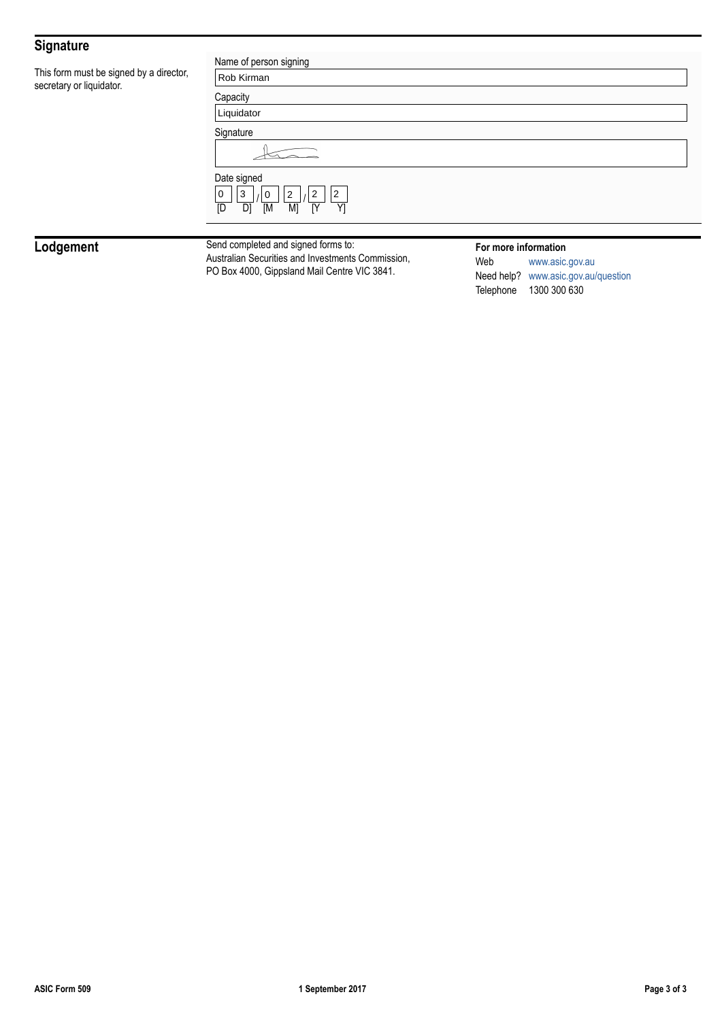## **Signature**

This form must be signed by a director, secretary or liquidator.

| Name of person signing                                                                                |  |  |
|-------------------------------------------------------------------------------------------------------|--|--|
| Rob Kirman                                                                                            |  |  |
| Capacity                                                                                              |  |  |
| Liquidator                                                                                            |  |  |
| Signature                                                                                             |  |  |
|                                                                                                       |  |  |
| Date signed                                                                                           |  |  |
| $\overline{2}$<br>$\overline{2}$<br>$\overline{2}$<br>0<br>3<br>0<br>D1<br>[M<br>M)<br>[Y<br>Y1<br>ΓD |  |  |
|                                                                                                       |  |  |

**Lodgement** Send completed and signed forms to:<br>Australian Securities and Investments Commission, PO Box 4000, Gippsland Mail Centre VIC 3841.

#### **For more information**

Web [www.asic.gov.au](http://www.asic.gov.au) Need help? [www.asic.gov.au/question](http://www.asic.gov.au/question) Telephone 1300 300 630